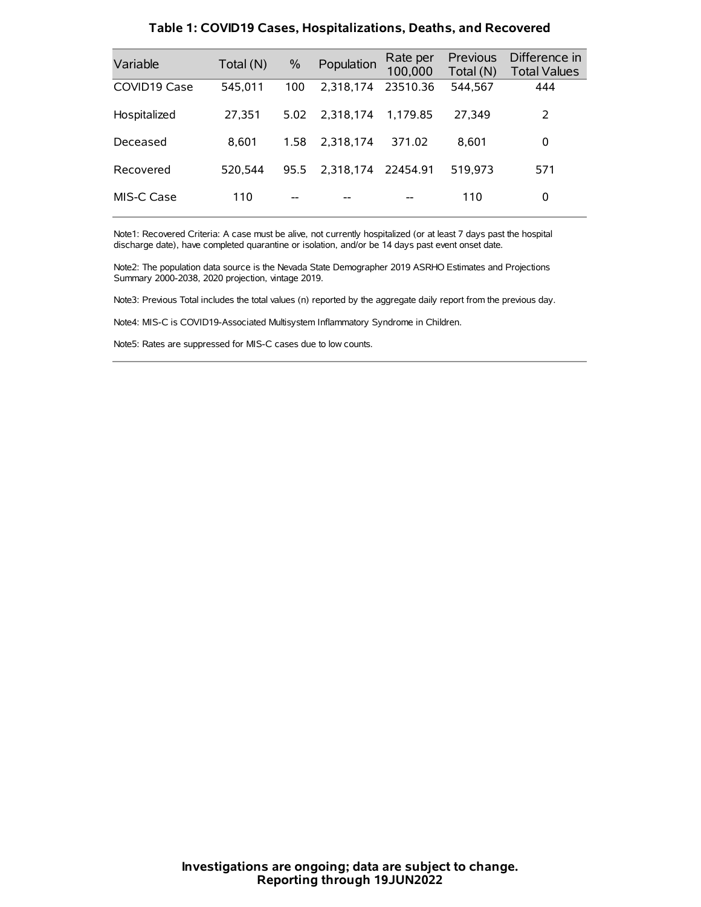| Variable     | Total (N) | $\%$ | Population         | Rate per<br>100,000 | Previous<br>Total (N) | Difference in<br><b>Total Values</b> |
|--------------|-----------|------|--------------------|---------------------|-----------------------|--------------------------------------|
| COVID19 Case | 545.011   | 100  | 2.318.174          | 23510.36            | 544,567               | 444                                  |
| Hospitalized | 27,351    | 5.02 | 2.318.174          | 1.179.85            | 27.349                | 2                                    |
| Deceased     | 8.601     | 1.58 | 2.318.174          | 371.02              | 8.601                 | 0                                    |
| Recovered    | 520.544   | 95.5 | 2.318.174 22454.91 |                     | 519.973               | 571                                  |
| MIS-C Case   | 110       | --   |                    |                     | 110                   | 0                                    |

#### **Table 1: COVID19 Cases, Hospitalizations, Deaths, and Recovered**

Note1: Recovered Criteria: A case must be alive, not currently hospitalized (or at least 7 days past the hospital discharge date), have completed quarantine or isolation, and/or be 14 days past event onset date.

Note2: The population data source is the Nevada State Demographer 2019 ASRHO Estimates and Projections Summary 2000-2038, 2020 projection, vintage 2019.

Note3: Previous Total includes the total values (n) reported by the aggregate daily report from the previous day.

Note4: MIS-C is COVID19-Associated Multisystem Inflammatory Syndrome in Children.

Note5: Rates are suppressed for MIS-C cases due to low counts.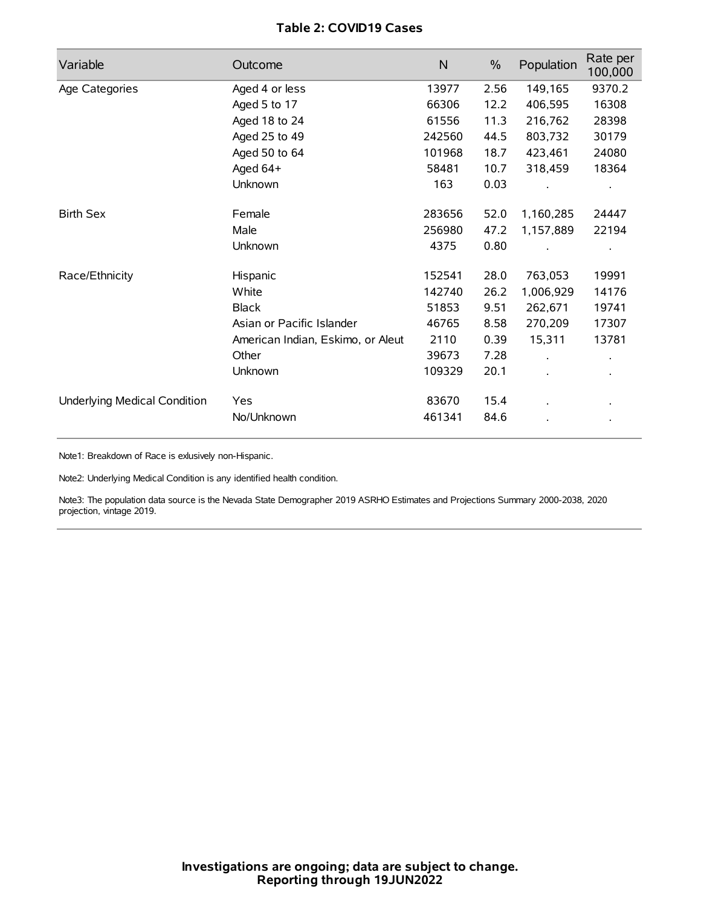## **Table 2: COVID19 Cases**

| Variable                     | Outcome                           | $\mathsf{N}$ | $\%$ | Population | Rate per<br>100,000 |
|------------------------------|-----------------------------------|--------------|------|------------|---------------------|
| Age Categories               | Aged 4 or less                    | 13977        | 2.56 | 149,165    | 9370.2              |
|                              | Aged 5 to 17                      | 66306        | 12.2 | 406,595    | 16308               |
|                              | Aged 18 to 24                     | 61556        | 11.3 | 216,762    | 28398               |
|                              | Aged 25 to 49                     | 242560       | 44.5 | 803,732    | 30179               |
|                              | Aged 50 to 64                     | 101968       | 18.7 | 423,461    | 24080               |
|                              | Aged 64+                          | 58481        | 10.7 | 318,459    | 18364               |
|                              | Unknown                           | 163          | 0.03 |            |                     |
| <b>Birth Sex</b>             | Female                            | 283656       | 52.0 | 1,160,285  | 24447               |
|                              | Male                              | 256980       | 47.2 | 1,157,889  | 22194               |
|                              | Unknown                           | 4375         | 0.80 |            |                     |
| Race/Ethnicity               | Hispanic                          | 152541       | 28.0 | 763,053    | 19991               |
|                              | White                             | 142740       | 26.2 | 1,006,929  | 14176               |
|                              | <b>Black</b>                      | 51853        | 9.51 | 262,671    | 19741               |
|                              | Asian or Pacific Islander         | 46765        | 8.58 | 270,209    | 17307               |
|                              | American Indian, Eskimo, or Aleut | 2110         | 0.39 | 15,311     | 13781               |
|                              | Other                             | 39673        | 7.28 |            |                     |
|                              | Unknown                           | 109329       | 20.1 |            |                     |
| Underlying Medical Condition | Yes                               | 83670        | 15.4 |            |                     |
|                              | No/Unknown                        | 461341       | 84.6 |            |                     |

Note1: Breakdown of Race is exlusively non-Hispanic.

Note2: Underlying Medical Condition is any identified health condition.

Note3: The population data source is the Nevada State Demographer 2019 ASRHO Estimates and Projections Summary 2000-2038, 2020 projection, vintage 2019.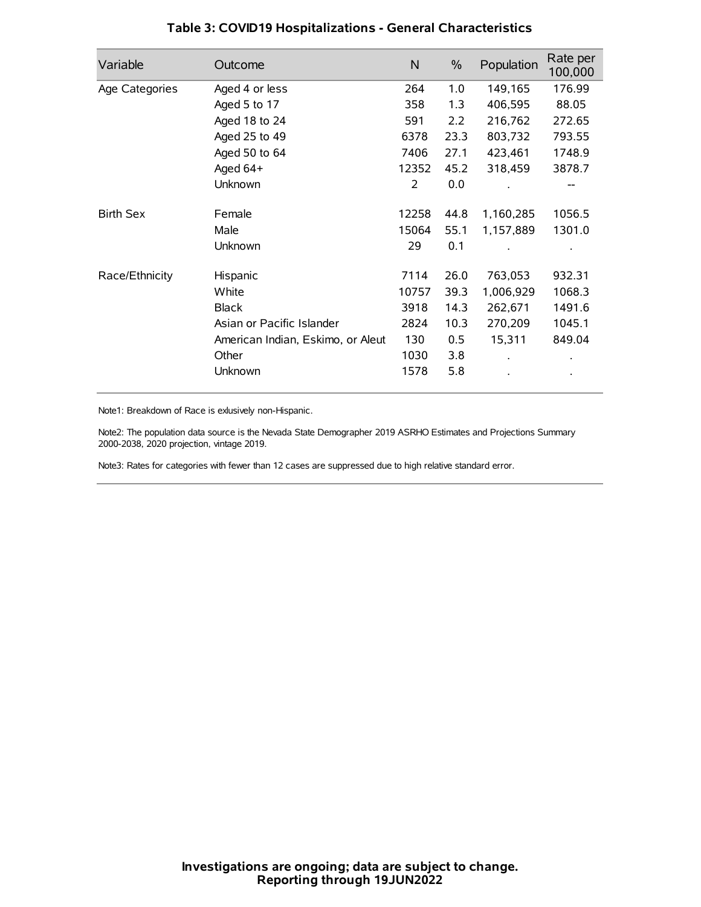| Variable         | Outcome                           | $\mathsf{N}$ | $\%$ | Population | Rate per<br>100,000 |
|------------------|-----------------------------------|--------------|------|------------|---------------------|
| Age Categories   | Aged 4 or less                    | 264          | 1.0  | 149,165    | 176.99              |
|                  | Aged 5 to 17                      | 358          | 1.3  | 406,595    | 88.05               |
|                  | Aged 18 to 24                     | 591          | 2.2  | 216,762    | 272.65              |
|                  | Aged 25 to 49                     | 6378         | 23.3 | 803,732    | 793.55              |
|                  | Aged 50 to 64                     | 7406         | 27.1 | 423,461    | 1748.9              |
|                  | Aged 64+                          | 12352        | 45.2 | 318,459    | 3878.7              |
|                  | Unknown                           | 2            | 0.0  |            |                     |
| <b>Birth Sex</b> | Female                            | 12258        | 44.8 | 1,160,285  | 1056.5              |
|                  | Male                              | 15064        | 55.1 | 1,157,889  | 1301.0              |
|                  | Unknown                           | 29           | 0.1  |            |                     |
| Race/Ethnicity   | Hispanic                          | 7114         | 26.0 | 763,053    | 932.31              |
|                  | White                             | 10757        | 39.3 | 1,006,929  | 1068.3              |
|                  | <b>Black</b>                      | 3918         | 14.3 | 262,671    | 1491.6              |
|                  | Asian or Pacific Islander         | 2824         | 10.3 | 270,209    | 1045.1              |
|                  | American Indian, Eskimo, or Aleut | 130          | 0.5  | 15,311     | 849.04              |
|                  | Other                             | 1030         | 3.8  |            |                     |
|                  | Unknown                           | 1578         | 5.8  |            |                     |

## **Table 3: COVID19 Hospitalizations - General Characteristics**

Note1: Breakdown of Race is exlusively non-Hispanic.

Note2: The population data source is the Nevada State Demographer 2019 ASRHO Estimates and Projections Summary 2000-2038, 2020 projection, vintage 2019.

Note3: Rates for categories with fewer than 12 cases are suppressed due to high relative standard error.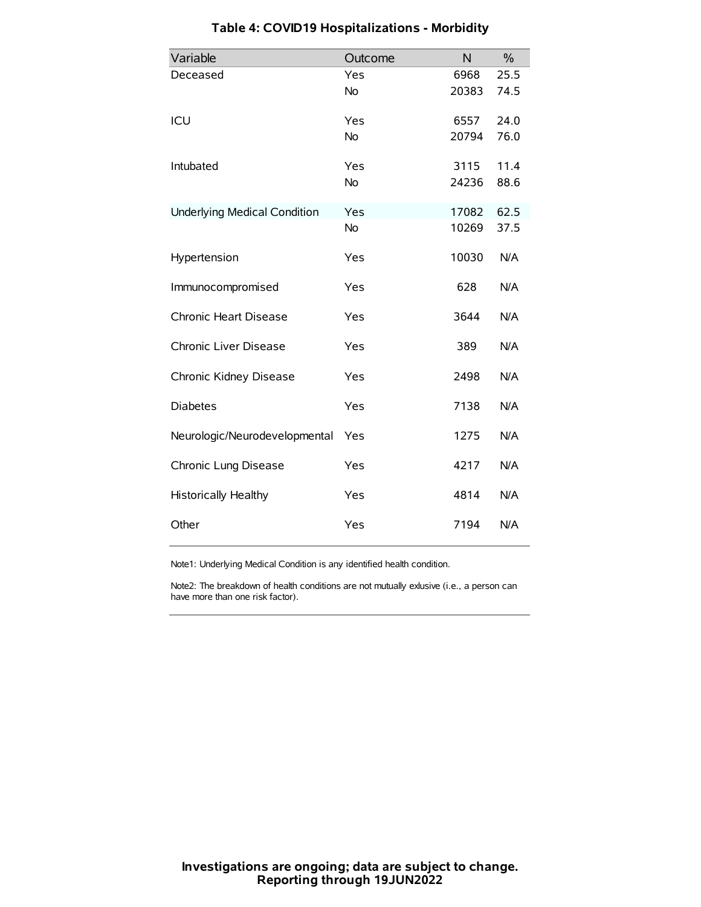| Variable                            | Outcome   | N     | $\frac{0}{0}$ |
|-------------------------------------|-----------|-------|---------------|
| Deceased                            | Yes       | 6968  | 25.5          |
|                                     | No        | 20383 | 74.5          |
| ICU                                 | Yes       | 6557  | 24.0          |
|                                     | <b>No</b> | 20794 | 76.0          |
| Intubated                           | Yes       | 3115  | 11.4          |
|                                     | No        | 24236 | 88.6          |
| <b>Underlying Medical Condition</b> | Yes       | 17082 | 62.5          |
|                                     | <b>No</b> | 10269 | 37.5          |
| Hypertension                        | Yes       | 10030 | N/A           |
| Immunocompromised                   | Yes       | 628   | N/A           |
| Chronic Heart Disease               | Yes       | 3644  | N/A           |
| Chronic Liver Disease               | Yes       | 389   | N/A           |
| Chronic Kidney Disease              | Yes       | 2498  | N/A           |
| <b>Diabetes</b>                     | Yes       | 7138  | N/A           |
| Neurologic/Neurodevelopmental       | Yes       | 1275  | N/A           |
| Chronic Lung Disease                | Yes       | 4217  | N/A           |
| <b>Historically Healthy</b>         | Yes       | 4814  | N/A           |
| Other                               | Yes       | 7194  | N/A           |

# **Table 4: COVID19 Hospitalizations - Morbidity**

Note1: Underlying Medical Condition is any identified health condition.

Note2: The breakdown of health conditions are not mutually exlusive (i.e., a person can have more than one risk factor).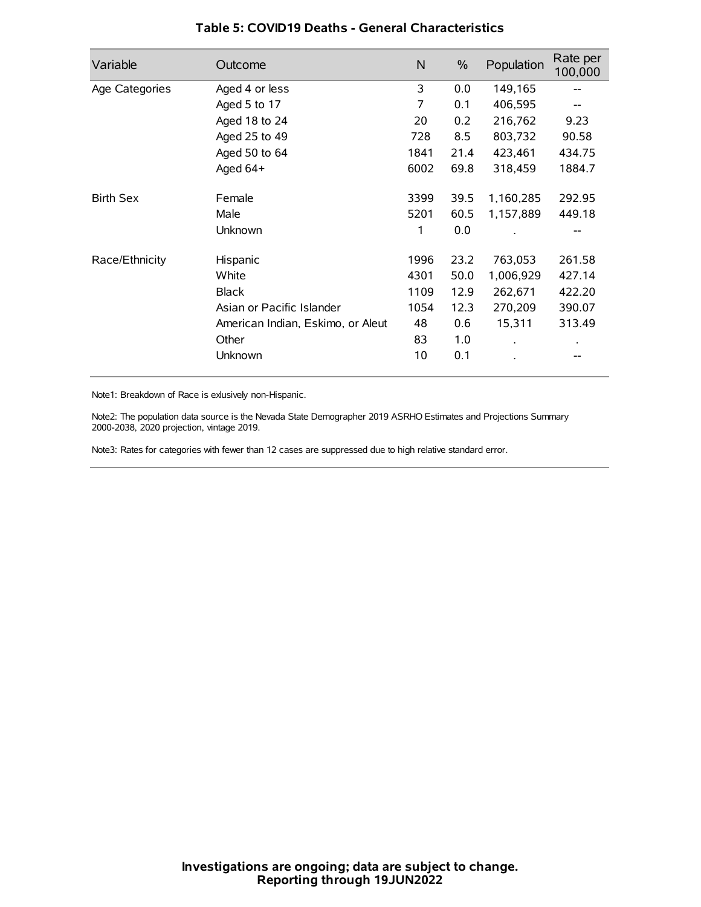| Variable         | Outcome                           | N    | $\frac{0}{0}$ | Population | Rate per<br>100,000 |
|------------------|-----------------------------------|------|---------------|------------|---------------------|
| Age Categories   | Aged 4 or less                    | 3    | 0.0           | 149,165    |                     |
|                  | Aged 5 to 17                      | 7    | 0.1           | 406,595    |                     |
|                  | Aged 18 to 24                     | 20   | 0.2           | 216,762    | 9.23                |
|                  | Aged 25 to 49                     | 728  | 8.5           | 803,732    | 90.58               |
|                  | Aged 50 to 64                     | 1841 | 21.4          | 423,461    | 434.75              |
|                  | Aged $64+$                        | 6002 | 69.8          | 318,459    | 1884.7              |
| <b>Birth Sex</b> | Female                            | 3399 | 39.5          | 1,160,285  | 292.95              |
|                  | Male                              | 5201 | 60.5          | 1,157,889  | 449.18              |
|                  | Unknown                           | 1    | 0.0           |            | --                  |
| Race/Ethnicity   | Hispanic                          | 1996 | 23.2          | 763,053    | 261.58              |
|                  | White                             | 4301 | 50.0          | 1,006,929  | 427.14              |
|                  | <b>Black</b>                      | 1109 | 12.9          | 262,671    | 422.20              |
|                  | Asian or Pacific Islander         | 1054 | 12.3          | 270,209    | 390.07              |
|                  | American Indian, Eskimo, or Aleut | 48   | 0.6           | 15,311     | 313.49              |
|                  | Other                             | 83   | 1.0           |            |                     |
|                  | Unknown                           | 10   | 0.1           |            |                     |

### **Table 5: COVID19 Deaths - General Characteristics**

Note1: Breakdown of Race is exlusively non-Hispanic.

Note2: The population data source is the Nevada State Demographer 2019 ASRHO Estimates and Projections Summary 2000-2038, 2020 projection, vintage 2019.

Note3: Rates for categories with fewer than 12 cases are suppressed due to high relative standard error.